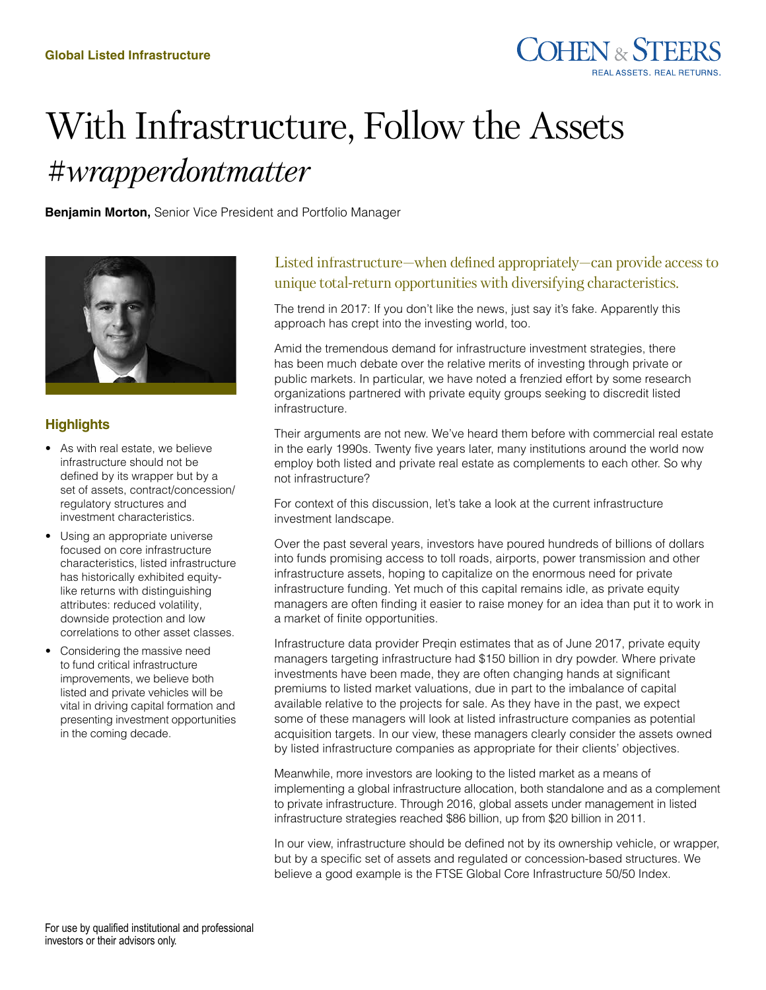

# With Infrastructure, Follow the Assets *#wrapperdontmatter*

**Benjamin Morton,** Senior Vice President and Portfolio Manager



### **Highlights**

- As with real estate, we believe infrastructure should not be defined by its wrapper but by a set of assets, contract/concession/ regulatory structures and investment characteristics.
- Using an appropriate universe focused on core infrastructure characteristics, listed infrastructure has historically exhibited equitylike returns with distinguishing attributes: reduced volatility, downside protection and low correlations to other asset classes.
- Considering the massive need to fund critical infrastructure improvements, we believe both listed and private vehicles will be vital in driving capital formation and presenting investment opportunities in the coming decade.

## Listed infrastructure—when defined appropriately—can provide access to unique total-return opportunities with diversifying characteristics.

The trend in 2017: If you don't like the news, just say it's fake. Apparently this approach has crept into the investing world, too.

Amid the tremendous demand for infrastructure investment strategies, there has been much debate over the relative merits of investing through private or public markets. In particular, we have noted a frenzied effort by some research organizations partnered with private equity groups seeking to discredit listed infrastructure.

Their arguments are not new. We've heard them before with commercial real estate in the early 1990s. Twenty five years later, many institutions around the world now employ both listed and private real estate as complements to each other. So why not infrastructure?

For context of this discussion, let's take a look at the current infrastructure investment landscape.

Over the past several years, investors have poured hundreds of billions of dollars into funds promising access to toll roads, airports, power transmission and other infrastructure assets, hoping to capitalize on the enormous need for private infrastructure funding. Yet much of this capital remains idle, as private equity managers are often finding it easier to raise money for an idea than put it to work in a market of finite opportunities.

Infrastructure data provider Preqin estimates that as of June 2017, private equity managers targeting infrastructure had \$150 billion in dry powder. Where private investments have been made, they are often changing hands at significant premiums to listed market valuations, due in part to the imbalance of capital available relative to the projects for sale. As they have in the past, we expect some of these managers will look at listed infrastructure companies as potential acquisition targets. In our view, these managers clearly consider the assets owned by listed infrastructure companies as appropriate for their clients' objectives.

Meanwhile, more investors are looking to the listed market as a means of implementing a global infrastructure allocation, both standalone and as a complement to private infrastructure. Through 2016, global assets under management in listed infrastructure strategies reached \$86 billion, up from \$20 billion in 2011.

In our view, infrastructure should be defined not by its ownership vehicle, or wrapper, but by a specific set of assets and regulated or concession-based structures. We believe a good example is the FTSE Global Core Infrastructure 50/50 Index.